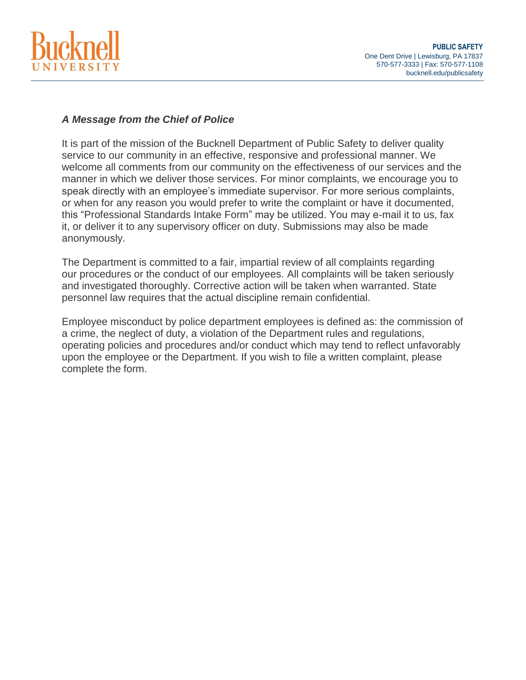

## *A Message from the Chief of Police*

It is part of the mission of the Bucknell Department of Public Safety to deliver quality service to our community in an effective, responsive and professional manner. We welcome all comments from our community on the effectiveness of our services and the manner in which we deliver those services. For minor complaints, we encourage you to speak directly with an employee's immediate supervisor. For more serious complaints, or when for any reason you would prefer to write the complaint or have it documented, this "Professional Standards Intake Form" may be utilized. You may e-mail it to us, fax it, or deliver it to any supervisory officer on duty. Submissions may also be made anonymously.

The Department is committed to a fair, impartial review of all complaints regarding our procedures or the conduct of our employees. All complaints will be taken seriously and investigated thoroughly. Corrective action will be taken when warranted. State personnel law requires that the actual discipline remain confidential.

Employee misconduct by police department employees is defined as: the commission of a crime, the neglect of duty, a violation of the Department rules and regulations, operating policies and procedures and/or conduct which may tend to reflect unfavorably upon the employee or the Department. If you wish to file a written complaint, please complete the form.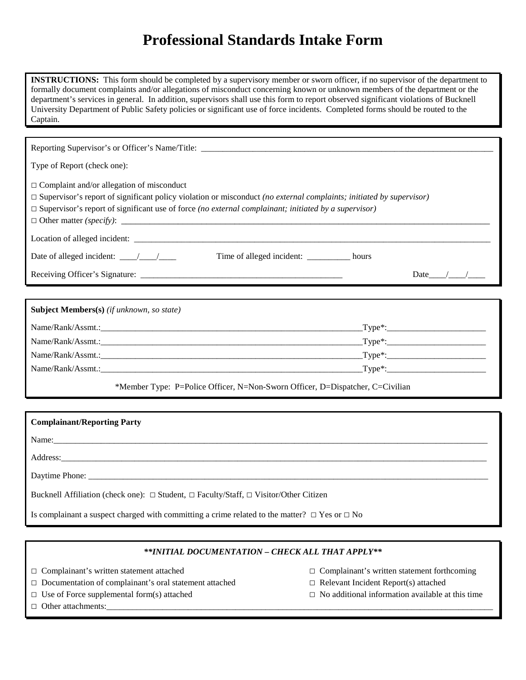## **Professional Standards Intake Form**

**INSTRUCTIONS:** This form should be completed by a supervisory member or sworn officer, if no supervisor of the department to formally document complaints and/or allegations of misconduct concerning known or unknown members of the department or the department's services in general. In addition, supervisors shall use this form to report observed significant violations of Bucknell University Department of Public Safety policies or significant use of force incidents. Completed forms should be routed to the Captain.

| Type of Report (check one):                                                                                                                                                                                                                                                                   |  |  |  |  |  |  |  |  |
|-----------------------------------------------------------------------------------------------------------------------------------------------------------------------------------------------------------------------------------------------------------------------------------------------|--|--|--|--|--|--|--|--|
| $\Box$ Complaint and/or allegation of misconduct<br>$\Box$ Supervisor's report of significant policy violation or misconduct (no external complaints; initiated by supervisor)<br>$\Box$ Supervisor's report of significant use of force (no external complainant; initiated by a supervisor) |  |  |  |  |  |  |  |  |
|                                                                                                                                                                                                                                                                                               |  |  |  |  |  |  |  |  |
| Time of alleged incident: ________ hours                                                                                                                                                                                                                                                      |  |  |  |  |  |  |  |  |
| Date $\_\_\_\_\_\_\_\_\_\_\_\_\_\_\_\_\_\_\_$                                                                                                                                                                                                                                                 |  |  |  |  |  |  |  |  |
|                                                                                                                                                                                                                                                                                               |  |  |  |  |  |  |  |  |
| Subject Members(s) (if unknown, so state)                                                                                                                                                                                                                                                     |  |  |  |  |  |  |  |  |
|                                                                                                                                                                                                                                                                                               |  |  |  |  |  |  |  |  |
|                                                                                                                                                                                                                                                                                               |  |  |  |  |  |  |  |  |
|                                                                                                                                                                                                                                                                                               |  |  |  |  |  |  |  |  |
| Name/Rank/Assmt.: Type*: Type*:                                                                                                                                                                                                                                                               |  |  |  |  |  |  |  |  |
| *Member Type: P=Police Officer, N=Non-Sworn Officer, D=Dispatcher, C=Civilian                                                                                                                                                                                                                 |  |  |  |  |  |  |  |  |
|                                                                                                                                                                                                                                                                                               |  |  |  |  |  |  |  |  |
| <b>Complainant/Reporting Party</b>                                                                                                                                                                                                                                                            |  |  |  |  |  |  |  |  |
| Name: Name and the second contract of the second contract of the second contract of the second contract of the second contract of the second contract of the second contract of the second contract of the second contract of                                                                 |  |  |  |  |  |  |  |  |
|                                                                                                                                                                                                                                                                                               |  |  |  |  |  |  |  |  |
|                                                                                                                                                                                                                                                                                               |  |  |  |  |  |  |  |  |
| Bucknell Affiliation (check one): $\Box$ Student, $\Box$ Faculty/Staff, $\Box$ Visitor/Other Citizen                                                                                                                                                                                          |  |  |  |  |  |  |  |  |

Is complainant a suspect charged with committing a crime related to the matter?  $\Box$  Yes or  $\Box$  No

## *\*\*INITIAL DOCUMENTATION – CHECK ALL THAT APPLY\*\**

□ Complainant's written statement attached □ Complainant's written statement forthcoming

- □ Documentation of complainant's oral statement attached □ Relevant Incident Report(s) attached
- 
- 
- 
- □ Use of Force supplemental form(s) attached □ No additional information available at this time
- □ Other attachments: